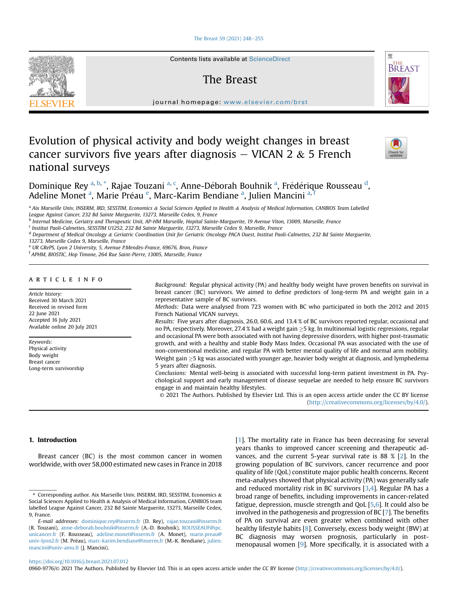## [The Breast 59 \(2021\) 248](https://doi.org/10.1016/j.breast.2021.07.012)-[255](https://doi.org/10.1016/j.breast.2021.07.012)



Contents lists available at ScienceDirect

# The Breast



journal homepage: [www.elsevier.com/brst](http://www.elsevier.com/brst)

# Evolution of physical activity and body weight changes in breast cancer survivors five years after diagnosis  $-$  VICAN 2 & 5 French national surveys



Dominique Rey <sup>[a,](#page-0-0) [b,](#page-0-1)</sup> [\\*](#page-0-2), R[a](#page-0-0)jae Touzani <sup>a, [c](#page-0-3)</sup>, Anne-Déborah Bouhnik <sup>a</sup>, Fré[d](#page-0-4)érique Rousseau <sup>d</sup>, Adeline Monet <sup>[a](#page-0-0)</sup>, Mari[e](#page-0-5) Préau <sup>e</sup>, Marc-Karim Bendiane <sup>a</sup>, Julien Mancini <sup>[a,](#page-0-0) i</sup>

<span id="page-0-0"></span>a Aix Marseille Univ, INSERM, IRD, SESSTIM, Economics & Social Sciences Applied to Health & Analysis of Medical Information, CANBIOS Team Labelled League Against Cancer, 232 Bd Sainte Marguerite, 13273, Marseille Cedex, 9, France

<span id="page-0-1"></span><sup>b</sup> Internal Medicine, Geriatry and Therapeutic Unit, AP-HM Marseille, Hopital Sainte-Marguerite, 19 Avenue Viton, 13009, Marseille, France

<span id="page-0-3"></span><sup>c</sup> Institut Paoli-Calmettes, SESSTIM U1252, 232 Bd Sainte Marguerite, 13273, Marseille Cedex 9, Marseille, France

<span id="page-0-4"></span><sup>d</sup> Department of Medical Oncology & Geriatric Coordination Unit for Geriatric Oncology PACA Ouest, Institut Paoli-Calmettes, 232 Bd Sainte Marguerite,

13273, Marseille Cedex 9, Marseille, France

<span id="page-0-5"></span>e UR GRePS, Lyon 2 University, 5, Avenue P.Mendès-France, 69676, Bron, France

<span id="page-0-6"></span><sup>f</sup> APHM, BIOSTIC, Hop Timone, 264 Rue Saint-Pierre, 13005, Marseille, France

# article info

Article history: Received 30 March 2021 Received in revised form 22 June 2021 Accepted 16 July 2021 Available online 20 July 2021

Keywords: Physical activity Body weight Breast cancer Long-term survivorship Background: Regular physical activity (PA) and healthy body weight have proven benefits on survival in breast cancer (BC) survivors. We aimed to define predictors of long-term PA and weight gain in a representative sample of BC survivors.

Methods: Data were analysed from 723 women with BC who participated in both the 2012 and 2015 French National VICAN surveys.

Results: Five years after diagnosis, 26.0, 60.6, and 13.4 % of BC survivors reported regular, occasional and no PA, respectively. Moreover, 27.4 % had a weight gain  $\geq$ 5 kg. In multinomial logistic regressions, regular and occasional PA were both associated with not having depressive disorders, with higher post-traumatic growth, and with a healthy and stable Body Mass Index. Occasional PA was associated with the use of non-conventional medicine, and regular PA with better mental quality of life and normal arm mobility. Weight gain  $\geq$ 5 kg was associated with younger age, heavier body weight at diagnosis, and lymphedema 5 years after diagnosis.

Conclusions: Mental well-being is associated with successful long-term patient investment in PA. Psychological support and early management of disease sequelae are needed to help ensure BC survivors engage in and maintain healthy lifestyles.

© 2021 The Authors. Published by Elsevier Ltd. This is an open access article under the CC BY license [\(http://creativecommons.org/licenses/by/4.0/](http://creativecommons.org/licenses/by/4.0/)).

# 1. Introduction

Breast cancer (BC) is the most common cancer in women worldwide, with over 58,000 estimated new cases in France in 2018

[[1](#page-6-0)]. The mortality rate in France has been decreasing for several years thanks to improved cancer screening and therapeutic advances, and the current 5-year survival rate is 88 % [\[2](#page-6-1)]. In the growing population of BC survivors, cancer recurrence and poor quality of life (QoL) constitute major public health concerns. Recent meta-analyses showed that physical activity (PA) was generally safe and reduced mortality risk in BC survivors [[3,](#page-6-2)[4](#page-6-3)]. Regular PA has a broad range of benefits, including improvements in cancer-related fatigue, depression, muscle strength and QoL [[5](#page-6-4)[,6](#page-6-5)]. It could also be involved in the pathogenesis and progression of BC [[7](#page-6-6)]. The benefits of PA on survival are even greater when combined with other healthy lifestyle habits [[8](#page-6-7)]. Conversely, excess body weight (BW) at BC diagnosis may worsen prognosis, particularly in postmenopausal women [\[9](#page-6-8)]. More specifically, it is associated with a

# <https://doi.org/10.1016/j.breast.2021.07.012>

0960-9776/© 2021 The Authors. Published by Elsevier Ltd. This is an open access article under the CC BY license [\(http://creativecommons.org/licenses/by/4.0/\)](http://creativecommons.org/licenses/by/4.0/).

<span id="page-0-2"></span><sup>\*</sup> Corresponding author. Aix Marseille Univ, INSERM, IRD, SESSTIM, Economics & Social Sciences Applied to Health & Analysis of Medical Information, CANBIOS team labelled League Against Cancer, 232 Bd Sainte Marguerite, 13273, Marseille Cedex, 9, France.

E-mail addresses: [dominique.rey@inserm.fr](mailto:dominique.rey@inserm.fr) (D. Rey), [rajae.touzani@inserm.fr](mailto:rajae.touzani@inserm.fr) (R. Touzani), [anne-deborah.bouhnik@inserm.fr](mailto:anne-deborah.bouhnik@inserm.fr) (A.-D. Bouhnik), [ROUSSEAUF@ipc.](mailto:ROUSSEAUF@ipc.unicancer.fr) [unicancer.fr](mailto:ROUSSEAUF@ipc.unicancer.fr) (F. Rousseau), [adeline.monet@inserm.fr](mailto:adeline.monet@inserm.fr) (A. Monet), [marie.preau@](mailto:marie.preau@univ-lyon2.fr) [univ-lyon2.fr](mailto:marie.preau@univ-lyon2.fr) (M. Préau), [marc-karim.bendiane@inserm.fr](mailto:marc-karim.bendiane@inserm.fr) (M.-K. Bendiane), [julien.](mailto:julien.mancini@univ-amu.fr) [mancini@univ-amu.fr](mailto:julien.mancini@univ-amu.fr) (J. Mancini).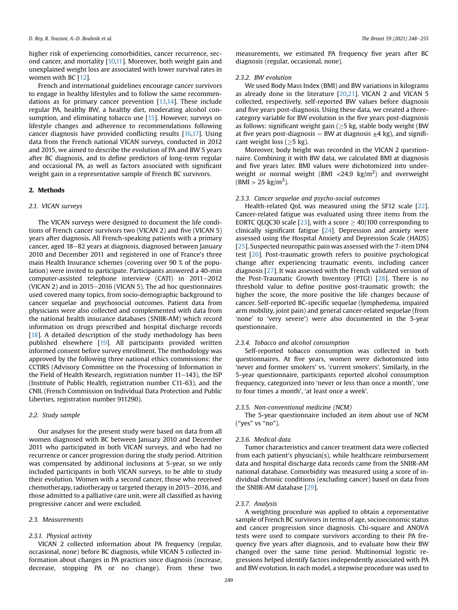higher risk of experiencing comorbidities, cancer recurrence, second cancer, and mortality [[10](#page-6-9)[,11](#page-6-10)]. Moreover, both weight gain and unexplained weight loss are associated with lower survival rates in women with BC [[12\]](#page-6-11).

French and international guidelines encourage cancer survivors to engage in healthy lifestyles and to follow the same recommendations as for primary cancer prevention [[13,](#page-6-12)[14](#page-6-13)]. These include regular PA, healthy BW, a healthy diet, moderating alcohol con-sumption, and eliminating tobacco use [\[15](#page-6-14)]. However, surveys on lifestyle changes and adherence to recommendations following cancer diagnosis have provided conflicting results [[16,](#page-6-15)[17\]](#page-6-16). Using data from the French national VICAN surveys, conducted in 2012 and 2015, we aimed to describe the evolution of PA and BW 5 years after BC diagnosis, and to define predictors of long-term regular and occasional PA, as well as factors associated with significant weight gain in a representative sample of French BC survivors.

# 2. Methods

# 2.1. VICAN surveys

The VICAN surveys were designed to document the life conditions of French cancer survivors two (VICAN 2) and five (VICAN 5) years after diagnosis. All French-speaking patients with a primary cancer, aged 18-82 years at diagnosis, diagnosed between January 2010 and December 2011 and registered in one of France's three main Health Insurance schemes (covering over 90 % of the population) were invited to participate. Participants answered a 40-min  $computer-assisted telephone$  interview  $(CATI)$  in  $2011-2012$ (VICAN 2) and in  $2015-2016$  (VICAN 5). The ad hoc questionnaires used covered many topics, from socio-demographic background to cancer sequelae and psychosocial outcomes. Patient data from physicians were also collected and complemented with data from the national health insurance databases (SNIIR-AM) which record information on drugs prescribed and hospital discharge records [ $18$ ]. A detailed description of the study methodology has been published elsewhere [\[19](#page-6-18)]. All participants provided written informed consent before survey enrollment. The methodology was approved by the following three national ethics commissions: the CCTIRS (Advisory Committee on the Processing of Information in the Field of Health Research, registration number  $11-143$ ), the ISP (Institute of Public Health, registration number C11-63), and the CNIL (French Commission on Individual Data Protection and Public Liberties, registration number 911290).

## 2.2. Study sample

Our analyses for the present study were based on data from all women diagnosed with BC between January 2010 and December 2011 who participated in both VICAN surveys, and who had no recurrence or cancer progression during the study period. Attrition was compensated by additional inclusions at 5-year, so we only included participants in both VICAN surveys, to be able to study their evolution. Women with a second cancer, those who received chemotherapy, radiotherapy or targeted therapy in 2015–2016, and those admitted to a palliative care unit, were all classified as having progressive cancer and were excluded.

#### 2.3. Measurements

# 2.3.1. Physical activity

VICAN 2 collected information about PA frequency (regular, occasional, none) before BC diagnosis, while VICAN 5 collected information about changes in PA practices since diagnosis (increase, decrease, stopping PA or no change). From these two measurements, we estimated PA frequency five years after BC diagnosis (regular, occasional, none).

# 2.3.2. BW evolution

We used Body Mass Index (BMI) and BW variations in kilograms as already done in the literature [\[20,](#page-6-19)[21\]](#page-6-20). VICAN 2 and VICAN 5 collected, respectively, self-reported BW values before diagnosis and five years post-diagnosis. Using these data, we created a threecategory variable for BW evolution in the five years post-diagnosis as follows: significant weight gain  $(>5 \text{ kg}, \text{stable}$  body weight (BW) at five years post-diagnosis = BW at diagnosis  $\pm$ 4 kg), and significant weight loss  $(>5 \text{ kg})$ .

Moreover, body height was recorded in the VICAN 2 questionnaire. Combining it with BW data, we calculated BMI at diagnosis and five years later. BMI values were dichotomized into underweight or normal weight (BMI  $\langle 24.9 \text{ kg/m}^2 \rangle$  and overweight  $(BMI > 25 \text{ kg/m}^2).$ 

# 2.3.3. Cancer sequelae and psycho-social outcomes

Health-related QoL was measured using the SF12 scale [\[22\]](#page-6-21). Cancer-related fatigue was evaluated using three items from the EORTC QLQC30 scale [\[23\]](#page-6-22), with a score  $\geq$  40/100 corresponding to clinically significant fatigue  $[24]$  $[24]$  $[24]$ . Depression and anxiety were assessed using the Hospital Anxiety and Depression Scale (HADS) [[25](#page-6-24)]. Suspected neuropathic pain was assessed with the 7-item DN4 test [\[26\]](#page-6-25). Post-traumatic growth refers to positive psychological change after experiencing traumatic events, including cancer diagnosis [\[27](#page-7-0)]. It was assessed with the French validated version of the Post-Traumatic Growth Inventory (PTGI) [[28](#page-7-1)]. There is no threshold value to define positive post-traumatic growth; the higher the score, the more positive the life changes because of cancer. Self-reported BC-specific sequelae (lymphedema, impaired arm mobility, joint pain) and general cancer-related sequelae (from 'none' to 'very severe') were also documented in the 5-year questionnaire.

## 2.3.4. Tobacco and alcohol consumption

Self-reported tobacco consumption was collected in both questionnaires. At five years, women were dichotomized into 'never and former smokers' vs. 'current smokers'. Similarly, in the 5-year questionnaire, participants reported alcohol consumption frequency, categorized into 'never or less than once a month', 'one to four times a month', 'at least once a week'.

## 2.3.5. Non-conventional medicine (NCM)

The 5-year questionnaire included an item about use of NCM ("yes" vs "no").

## 2.3.6. Medical data

Tumor characteristics and cancer treatment data were collected from each patient's physician(s), while healthcare reimbursement data and hospital discharge data records came from the SNIIR-AM national database. Comorbidity was measured using a score of individual chronic conditions (excluding cancer) based on data from the SNIIR-AM database [\[29\]](#page-7-2).

#### 2.3.7. Analysis

A weighting procedure was applied to obtain a representative sample of French BC survivors in terms of age, socioeconomic status and cancer progression since diagnosis. Chi-square and ANOVA tests were used to compare survivors according to their PA frequency five years after diagnosis, and to evaluate how their BW changed over the same time period. Multinomial logistic regressions helped identify factors independently associated with PA and BW evolution. In each model, a stepwise procedure was used to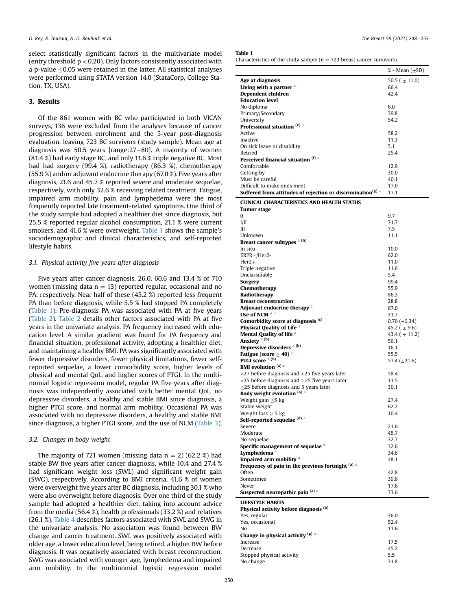select statistically significant factors in the multivariate model (entry threshold  $p < 0.20$ ). Only factors consistently associated with a p-value  $\leq$ 0.05 were retained in the latter. All statistical analyses were performed using STATA version 14.0 (StataCorp, College Station, TX, USA).

# 3. Results

Of the 861 women with BC who participated in both VICAN surveys, 136 were excluded from the analyses because of cancer progression between enrolment and the 5-year post-diagnosis evaluation, leaving 723 BC survivors (study sample). Mean age at diagnosis was 50.5 years [range: $27-80$ ]. A majority of women (81.4 %) had early stage BC, and only 11.6 % triple negative BC. Most had had surgery (99.4 %), radiotherapy (86.3 %), chemotherapy (55.9 %) and/or adjuvant endocrine therapy (67.0 %). Five years after diagnosis, 21.6 and 45.7 % reported severe and moderate sequelae, respectively, with only 32.6 % receiving related treatment. Fatigue, impaired arm mobility, pain and lymphedema were the most frequently reported late treatment-related symptoms. One third of the study sample had adopted a healthier diet since diagnosis, but 25.5 % reported regular alcohol consumption, 21.1 % were current smokers, and 41.6 % were overweight. [Table 1](#page-2-0) shows the sample's sociodemographic and clinical characteristics, and self-reported lifestyle habits.

# 3.1. Physical activity five years after diagnosis

Five years after cancer diagnosis, 26.0, 60.6 and 13.4 % of 710 women (missing data  $n = 13$ ) reported regular, occasional and no PA, respectively. Near half of these (45.2 %) reported less frequent PA than before diagnosis, while 5.5 % had stopped PA completely ([Table 1\)](#page-2-0). Pre-diagnosis PA was associated with PA at five years ([Table 2\)](#page-3-0). [Table 2](#page-3-0) details other factors associated with PA at five years in the univariate analysis. PA frequency increased with education level. A similar gradient was found for PA frequency and financial situation, professional activity, adopting a healthier diet, and maintaining a healthy BMI. PA was significantly associated with fewer depressive disorders, fewer physical limitations, fewer selfreported sequelae, a lower comorbidity score, higher levels of physical and mental QoL, and higher scores of PTGI. In the multinomial logistic regression model, regular PA five years after diagnosis was independently associated with better mental QoL, no depressive disorders, a healthy and stable BMI since diagnosis, a higher PTGI score, and normal arm mobility. Occasional PA was associated with no depressive disorders, a healthy and stable BMI since diagnosis, a higher PTGI score, and the use of NCM ([Table 3\)](#page-4-0).

# 3.2. Changes in body weight

The majority of 721 women (missing data  $n = 2$ ) (62.2 %) had stable BW five years after cancer diagnosis, while 10.4 and 27.4 % had significant weight loss (SWL) and significant weight gain (SWG), respectively. According to BMI criteria, 41.6 % of women were overweight five years after BC diagnosis, including 30.1 % who were also overweight before diagnosis. Over one third of the study sample had adopted a healthier diet, taking into account advice from the media (56.4 %), health professionals (33.2 %) and relatives (26.1 %). [Table 4](#page-4-1) describes factors associated with SWL and SWG in the univariate analysis. No association was found between BW change and cancer treatment. SWL was positively associated with older age, a lower education level, being retired, a higher BW before diagnosis. It was negatively associated with breast reconstruction. SWG was associated with younger age, lymphedema and impaired arm mobility. In the multinomial logistic regression model

#### <span id="page-2-0"></span>Table 1

Characteristics of the study sample ( $n = 723$  breast cancer survivors).

|                                                                                                     | % - Mean (±SD)     |
|-----------------------------------------------------------------------------------------------------|--------------------|
| Age at diagnosis                                                                                    | 50.5 ( $\pm$ 11.0) |
| Living with a partner <sup>a</sup>                                                                  | 66.4               |
| Dependent children                                                                                  | 42.4               |
| <b>Education level</b>                                                                              |                    |
| No diploma<br>Primary/Secondary                                                                     | 6.0<br>39.8        |
| University                                                                                          | 54.2               |
| Professional situation (e) a                                                                        |                    |
| Active                                                                                              | 58.2               |
| Inactive                                                                                            | 11.3               |
| On sick leave or disability                                                                         | 5.1                |
| Retired<br>Perceived financial situation (f) a                                                      | 25.4               |
| Comfortable                                                                                         | 12.9               |
| Getting by                                                                                          | 30.0               |
| Must be careful                                                                                     | 40.1               |
| Difficult to make ends meet                                                                         | 17.0               |
| Suffered from attitudes of rejection or discrimination <sup>(g) a</sup>                             | 17.1               |
| <b>CLINICAL CHARACTERISTICS AND HEALTH STATUS</b><br><b>Tumor</b> stage                             |                    |
| 0                                                                                                   | 9.7                |
| I/II                                                                                                | 71.7               |
| Ш                                                                                                   | 7.5                |
| Unknown                                                                                             | 11.1               |
| Breast cancer subtypes <sup>e (h)</sup><br>In situ                                                  | 10.0               |
| $ERPR+ / Her2-$                                                                                     | 62.0               |
| $Her2+$                                                                                             | 11.0               |
| Triple negative                                                                                     | 11.6               |
| Unclassifiable                                                                                      | 5.4                |
| Surgery                                                                                             | 99.4               |
| Chemotherapy                                                                                        | 55.9               |
| Radiotherapy<br><b>Breast reconstruction</b>                                                        | 86.3<br>28.8       |
| Adjuvant endocrine therapy a                                                                        | 67.0               |
| Use of NCM a b                                                                                      | 31.7               |
| Comorbidity score at diagnosis (c)                                                                  | $0.70~(\pm 0.34)$  |
| <b>Physical Quality of Life <sup>a</sup></b>                                                        | 45.2 ( $\pm$ 9.6)  |
| <b>Mental Quality of life a</b><br>Anxiety <sup>a (b)</sup>                                         | 43.4 ( $\pm$ 11.2) |
| Depressive disorders <sup>a (b)</sup>                                                               | 56.1<br>16.1       |
| Fatigue (score $\geq$ 40) $^{\rm a}$                                                                | 55.5               |
| PTGI score <sup>a (b)</sup>                                                                         | 57.4 $(\pm 21.6)$  |
| <b>BMI</b> evolution $(a)$ c                                                                        |                    |
| $<$ 27 before diagnosis and $<$ 25 five years later                                                 | 58.4               |
| <25 before diagnosis and $\geq$ 25 five years later<br>$\geq$ 25 before diagnosis and 5 years later | 11.5<br>30.1       |
| Body weight evolution (a) a                                                                         |                    |
| Weight gain $\geq$ 5 kg                                                                             | 27.4               |
| Stable weight                                                                                       | 62.2               |
| Weight loss $\geq 5$ kg                                                                             | 10.4               |
| Self-reported sequelae <sup>(d) a</sup>                                                             |                    |
| Severe<br>Moderate                                                                                  | 21.6<br>45.7       |
| No sequelae                                                                                         | 32.7               |
| Specific management of sequelae d                                                                   | 32.6               |
| Lymphedema <sup>a</sup>                                                                             | 34.6               |
| Impaired arm mobility <sup>a</sup>                                                                  | 48.1               |
| Frequency of pain in the previous fortnight (a) a                                                   | 42.8               |
| Often<br>Sometimes                                                                                  | 39.6               |
| Never                                                                                               | 17.6               |
| Suspected neuropathic pain (a) a                                                                    | 33.6               |
| <b>LIFESTYLE HABITS</b>                                                                             |                    |
| Physical activity before diagnosis (b)                                                              |                    |
| Yes, regular<br>Yes, occasional                                                                     | 36.0<br>52.4       |
| No                                                                                                  | 11.6               |
| Change in physical activity (g) a                                                                   |                    |
| Increase                                                                                            | 17.5               |
| Decrease                                                                                            | 45.2               |
| Stopped physical activity                                                                           | 5.5                |
| No change                                                                                           | 31.8               |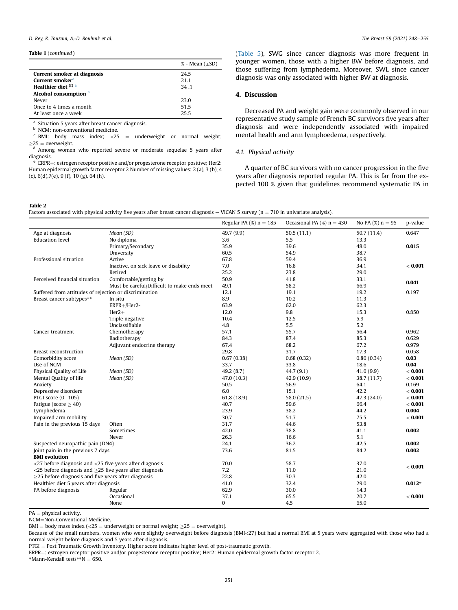Table 1 (continued )

|                                  | % - Mean $(\pm SD)$ |
|----------------------------------|---------------------|
| Current smoker at diagnosis      | 24.5                |
| Current smoker <sup>a</sup>      | 21.1                |
| Healthier diet (f) a             | 34.1                |
| Alcohol consumption <sup>a</sup> |                     |
| Never                            | 23.0                |
| Once to 4 times a month          | 51.5                |
| At least once a week             | 255                 |

<span id="page-3-1"></span><sup>a</sup> Situation 5 years after breast cancer diagnosis.

<span id="page-3-3"></span>b NCM: non-conventional medicine.

<span id="page-3-4"></span> $\text{c}$  BMI: body mass index; <25 = underweight or normal weight;  $\geq$ 25 = overweight.<br><sup>d</sup> Among women who reported severe or moderate sequelae 5 years after

<span id="page-3-5"></span>diagnosis.

<span id="page-3-2"></span> $e$  ERPR $+$ : estrogen receptor positive and/or progesterone receptor positive; Her2: Human epidermal growth factor receptor 2 Number of missing values: 2 (a), 3 (b), 4 (c), 6(d),7(e), 9 (f), 10 (g), 64 (h).

([Table 5](#page-5-0)), SWG since cancer diagnosis was more frequent in younger women, those with a higher BW before diagnosis, and those suffering from lymphedema. Moreover, SWL since cancer diagnosis was only associated with higher BW at diagnosis.

# 4. Discussion

Decreased PA and weight gain were commonly observed in our representative study sample of French BC survivors five years after diagnosis and were independently associated with impaired mental health and arm lymphoedema, respectively.

## 4.1. Physical activity

A quarter of BC survivors with no cancer progression in the five years after diagnosis reported regular PA. This is far from the expected 100 % given that guidelines recommend systematic PA in

## <span id="page-3-0"></span>Table 2

Factors associated with physical activity five years after breast cancer diagnosis – VICAN 5 survey ( $n = 710$  in univariate analysis).

|                                                                        |                                             | Regular PA $(%)$ n = 185 | Occasional PA $(\%)$ n = 430 | No PA $(%) n = 95$ | p-value  |
|------------------------------------------------------------------------|---------------------------------------------|--------------------------|------------------------------|--------------------|----------|
| Age at diagnosis                                                       | Mean (SD)                                   | 49.7 (9.9)               | 50.5(11.1)                   | 50.7(11.4)         | 0.647    |
| <b>Education level</b>                                                 | No diploma                                  | 3.6                      | 5.5                          | 13.3               |          |
|                                                                        | Primary/Secondary                           | 35.9                     | 39.6                         | 48.0               | 0.015    |
|                                                                        | University                                  | 60.5                     | 54.9                         | 38.7               |          |
| Professional situation                                                 | Active                                      | 67.8                     | 59.4                         | 36.9               |          |
|                                                                        | Inactive, on sick leave or disability       | 7.0                      | 16.8                         | 34.1               | < 0.001  |
|                                                                        | Retired                                     | 25.2                     | 23.8                         | 29.0               |          |
| Perceived financial situation                                          | Comfortable/getting by                      | 50.9                     | 41.8                         | 33.1               | 0.041    |
|                                                                        | Must be careful/Difficult to make ends meet | 49.1                     | 58.2                         | 66.9               |          |
| Suffered from attitudes of rejection or discrimination                 |                                             | 12.1                     | 19.1                         | 19.2               | 0.197    |
| Breast cancer subtypes**                                               | In situ                                     | 8.9                      | 10.2                         | 11.3               |          |
|                                                                        | ERPR+/Her2-                                 | 63.9                     | 62.0                         | 62.3               |          |
|                                                                        | $Her2+$                                     | 12.0                     | 9.8                          | 15.3               | 0.850    |
|                                                                        | Triple negative                             | 10.4                     | 12.5                         | 5.9                |          |
|                                                                        | Unclassifiable                              | 4.8                      | 5.5                          | 5.2                |          |
| Cancer treatment                                                       | Chemotherapy                                | 57.1                     | 55.7                         | 56.4               | 0.962    |
|                                                                        | Radiotherapy                                | 84.3                     | 87.4                         | 85.3               | 0.629    |
|                                                                        | Adjuvant endocrine therapy                  | 67.4                     | 68.2                         | 67.2               | 0.979    |
| <b>Breast reconstruction</b>                                           |                                             | 29.8                     | 31.7                         | 17.3               | 0.058    |
| Comorbidity score                                                      | Mean (SD)                                   | 0.67(0.38)               | 0.68(0.32)                   | 0.80(0.34)         | 0.03     |
| Use of NCM                                                             |                                             | 33.7                     | 33.8                         | 18.6               | 0.04     |
| Physical Quality of Life                                               | Mean (SD)                                   | 49.2(8.7)                | 44.7 (9.1)                   | 41.0(9.9)          | < 0.001  |
| Mental Quality of life                                                 | Mean (SD)                                   | 47.0 (10.3)              | 42.9 (10.9)                  | 38.7 (11.7)        | < 0.001  |
| Anxiety                                                                |                                             | 50.5                     | 56.9                         | 64.1               | 0.169    |
| Depressive disorders                                                   |                                             | 6.0                      | 15.1                         | 42.2               | < 0.001  |
| PTGI score (0-105)                                                     |                                             | 61.8(18.9)               | 58.0 (21.5)                  | 47.3 (24.0)        | < 0.001  |
| Fatigue (score $\geq$ 40)                                              |                                             | 40.7                     | 59.6                         | 66.4               | < 0.001  |
| Lymphedema                                                             |                                             | 23.9                     | 38.2                         | 44.2               | 0.004    |
| Impaired arm mobility                                                  |                                             | 30.7                     | 51.7                         | 75.5               | < 0.001  |
| Pain in the previous 15 days                                           | Often                                       | 31.7                     | 44.6                         | 53.8               |          |
|                                                                        | Sometimes                                   | 42.0                     | 38.8                         | 41.1               | 0.002    |
|                                                                        | Never                                       | 26.3                     | 16.6                         | 5.1                |          |
| Suspected neuropathic pain (DN4)                                       |                                             | 24.1                     | 36.2                         | 42.5               | 0.002    |
| Joint pain in the previous 7 days                                      |                                             | 73.6                     | 81.5                         | 84.2               | 0.002    |
| <b>BMI</b> evolution                                                   |                                             |                          |                              |                    |          |
| $<$ 27 before diagnosis and $<$ 25 five years after diagnosis          |                                             | 70.0                     | 58.7                         | 37.0               | < 0.001  |
| $\langle$ 25 before diagnosis and $\geq$ 25 five years after diagnosis |                                             | 7.2                      | 11.0                         | 21.0               |          |
| $\geq$ 25 before diagnosis and five years after diagnosis              |                                             | 22.8                     | 30.3                         | 42.0               |          |
| Healthier diet 5 years after diagnosis                                 |                                             | 41.0                     | 32.4                         | 29.0               | $0.012*$ |
| PA before diagnosis                                                    | Regular                                     | 62.9                     | 30.0                         | 14.3               |          |
|                                                                        | Occasional                                  | 37.1                     | 65.5                         | 20.7               | < 0.001  |
|                                                                        | None                                        | $\mathbf{0}$             | 4.5                          | 65.0               |          |

 $PA = physical activity$ .

NCM=Non-Conventional Medicine.

BMI = body mass index (<25 = underweight or normal weight;  $\geq$ 25 = overweight).

Because of the small numbers, women who were slightly overweight before diagnosis (BMI<27) but had a normal BMI at 5 years were aggregated with those who had a normal weight before diagnosis and 5 years after diagnosis.

PTGI = Post Traumatic Growth Inventory. Higher score indicates higher level of post-traumatic growth.

ERPR+: estrogen receptor positive and/or progesterone receptor positive; Her2: Human epidermal growth factor receptor 2.

 $*$ Mann-Kendall test/ $*$  $N = 650$ .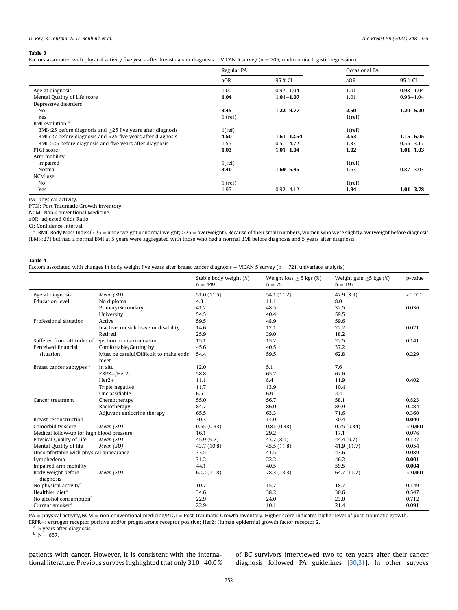# D. Rey, R. Touzani, A.-D. Bouhnik et al.  $\blacksquare$

## <span id="page-4-0"></span>Table 3

Factors associated with physical activity five years after breast cancer diagnosis  $-$  VICAN 5 survey (n = 706, multinomial logistic regression).

|                                                                   | Regular PA |                | Occasional PA |               |
|-------------------------------------------------------------------|------------|----------------|---------------|---------------|
|                                                                   | aOR        | 95 % CI        | aOR           | 95 % CI       |
| Age at diagnosis                                                  | 1.00       | $0.97 - 1.04$  | 1.01          | $0.98 - 1.04$ |
| Mental Quality of Life score                                      | 1.04       | $1.01 - 1.07$  | 1.01          | $0.98 - 1.04$ |
| Depressive disorders                                              |            |                |               |               |
| No                                                                | 3.45       | $1.22 - 9.77$  | 2.50          | $1.20 - 5.20$ |
| Yes                                                               | $1$ (ref)  |                | $1$ (ref)     |               |
| BMI evolution <sup>a</sup>                                        |            |                |               |               |
| BMI<25 before diagnosis and $\geq$ 25 five years after diagnosis  | 1(ref)     |                | $1$ (ref)     |               |
| $BMI < 27$ before diagnosis and $< 25$ five years after diagnosis | 4.50       | $1.61 - 12.54$ | 2.63          | $1.15 - 6.05$ |
| $BMI > 25$ before diagnosis and five years after diagnosis        | 1.55       | $0.51 - 4.72$  | 1.33          | $0.55 - 3.17$ |
| PTGI score                                                        | 1.03       | $1.01 - 1.04$  | 1.02          | $1.01 - 1.03$ |
| Arm mobility                                                      |            |                |               |               |
| Impaired                                                          | $1$ (ref)  |                | $1$ (ref)     |               |
| Normal                                                            | 3.40       | $1.69 - 6.85$  | 1.63          | $0.87 - 3.03$ |
| NCM use                                                           |            |                |               |               |
| No                                                                | $1$ (ref)  |                | 1(ref)        |               |
| Yes                                                               | 1.95       | $0.92 - 4.12$  | 1.94          | $1.01 - 3.78$ |

PA: physical activity.

PTGI: Post Traumatic Growth Inventory.

NCM: Non-Conventional Medicine.

aOR: adjusted Odds Ratio.

CI: Confidence Interval.

<span id="page-4-2"></span>BMI: Body Mass Index (<25 = underweight or normal weight;  $\geq$ 25 = overweight). Because of their small numbers, women who were slightly overweight before diagnosis (BMI<27) but had a normal BMI at 5 years were aggregated with those who had a normal BMI before diagnosis and 5 years after diagnosis.

#### <span id="page-4-1"></span>Table 4

l.

Factors associated with changes in body weight five years after breast cancer diagnosis  $-$  VICAN 5 survey (n  $=$  721, univariate analysis).

|                                                        |                                        | Stable body weight (%)<br>$n = 449$ | Weight loss $\geq$ 5 kgs (%)<br>$n = 75$ | Weight gain $\geq$ 5 kgs (%)<br>$n = 197$ | p-value |
|--------------------------------------------------------|----------------------------------------|-------------------------------------|------------------------------------------|-------------------------------------------|---------|
| Age at diagnosis                                       | Mean (SD)                              | 51.0(11.5)                          | 54.1 (11.2)                              | 47.9(8.9)                                 | < 0.001 |
| <b>Education</b> level                                 | No diploma                             | 4.3                                 | 11.1                                     | 8.0                                       |         |
|                                                        | Primary/Secondary                      | 41.2                                | 48.5                                     | 32.5                                      | 0.036   |
|                                                        | University                             | 54.5                                | 40.4                                     | 59.5                                      |         |
| Professional situation                                 | Active                                 | 59.5                                | 48.9                                     | 59.6                                      |         |
|                                                        | Inactive, on sick leave or disability  | 14.6                                | 12.1                                     | 22.2                                      | 0.021   |
|                                                        | Retired                                | 25.9                                | 39.0                                     | 18.2                                      |         |
| Suffered from attitudes of rejection or discrimination |                                        | 15.1                                | 15.2                                     | 22.5                                      | 0.141   |
| Perceived financial                                    | Comfortable/Getting by                 | 45.6                                | 40.5                                     | 37.2                                      |         |
| situation                                              | Must be careful/Difficult to make ends | 54.4                                | 59.5                                     | 62.8                                      | 0.229   |
|                                                        | meet                                   |                                     |                                          |                                           |         |
| Breast cancer subtypes b                               | in situ                                | 12.0                                | 5.1                                      | 7.6                                       |         |
|                                                        | $ERPR+ / Her2-$                        | 58.8                                | 65.7                                     | 67.6                                      |         |
|                                                        | $Her2+$                                | 11.1                                | 8.4                                      | 11.9                                      | 0.402   |
|                                                        | Triple negative                        | 11.7                                | 13.9                                     | 10.4                                      |         |
|                                                        | Unclassifiable                         | 6.5                                 | 6.9                                      | 2.4                                       |         |
| Cancer treatment                                       | Chemotherapy                           | 55.0                                | 56.7                                     | 58.1                                      | 0.823   |
|                                                        | Radiotherapy                           | 84.7                                | 86.0                                     | 89.9                                      | 0.284   |
|                                                        | Adjuvant endocrine therapy             | 65.5                                | 63.3                                     | 71.6                                      | 0.360   |
| <b>Breast reconstruction</b>                           |                                        | 30.3                                | 14.0                                     | 30.4                                      | 0.040   |
| Comorbidity score                                      | Mean (SD)                              | 0.65(0.33)                          | 0.81(0.38)                               | 0.75(0.34)                                | < 0.001 |
| Medical follow-up for high blood pressure              |                                        | 16.1                                | 29.2                                     | 17.1                                      | 0.076   |
| Physical Quality of Life                               | Mean (SD)                              | 45.9 (9.7)                          | 43.7(8.1)                                | 44.4 (9.7)                                | 0.127   |
| Mental Quality of life                                 | Mean (SD)                              | 43.7 (10.8)                         | 45.5 (11.8)                              | 41.9 (11.7)                               | 0.054   |
| Uncomfortable with physical appearance                 |                                        | 33.5                                | 41.5                                     | 43.6                                      | 0.089   |
| Lymphedema                                             |                                        | 31.2                                | 22.2                                     | 46.2                                      | 0.001   |
| Impaired arm mobility                                  |                                        | 44.1                                | 40.5                                     | 59.5                                      | 0.004   |
| Body weight before<br>diagnosis                        | Mean (SD)                              | 62.2(11.8)                          | 78.3 (13.3)                              | 64.7 (11.7)                               | < 0.001 |
| No physical activity <sup>a</sup>                      |                                        | 10.7                                | 15.7                                     | 18.7                                      | 0.149   |
| Healthier diet <sup>a</sup>                            |                                        | 34.6                                | 38.2                                     | 30.6                                      | 0.547   |
| No alcohol consumption <sup>a</sup>                    |                                        | 22.9                                | 24.0                                     | 23.0                                      | 0.712   |
| Current smoker <sup>a</sup>                            |                                        | 22.9                                | 10.1                                     | 21.4                                      | 0.091   |

PA = physical activity/NCM = non-conventional medicine/PTGI = Post Traumatic Growth Inventory. Higher score indicates higher level of post-traumatic growth.

ERPR+: estrogen receptor positive and/or progesterone receptor positive; Her2: Human epidermal growth factor receptor 2.  $a$  5 years after diagnosis.

<span id="page-4-4"></span>

<span id="page-4-3"></span> $b \ N = 657.$ 

patients with cancer. However, it is consistent with the international literature. Previous surveys highlighted that only  $31.0-40.0$  % of BC survivors interviewed two to ten years after their cancer diagnosis followed PA guidelines [[30](#page-7-3)[,31](#page-7-4)]. In other surveys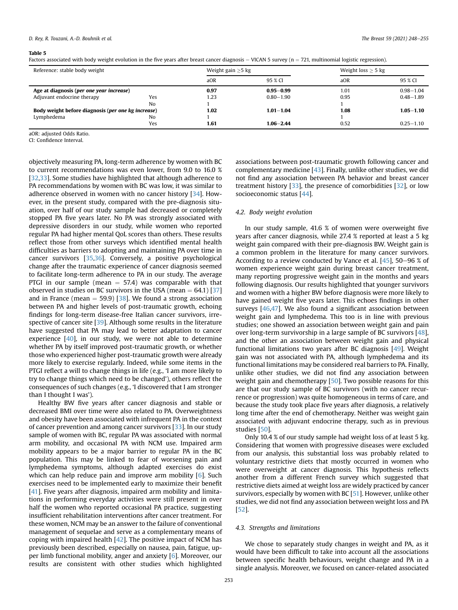## D. Rev. R. Touzani, A.-D. Bouhnik et al. The Breast 59 (2021) 248–255

#### <span id="page-5-0"></span>Table 5

Factors associated with body weight evolution in the five years after breast cancer diagnosis  $-$  VICAN 5 survey (n  $=$  721, multinomial logistic regression).

| Reference: stable body weight                      |     |      | Weight gain $\geq$ 5 kg |      | Weight loss $\geq$ 5 kg |  |
|----------------------------------------------------|-----|------|-------------------------|------|-------------------------|--|
|                                                    |     | aOR  | 95 % CI                 | aOR  | 95 % CI                 |  |
| Age at diagnosis (per one year increase)           |     | 0.97 | $0.95 - 0.99$           | 1.01 | $0.98 - 1.04$           |  |
| Adjuvant endocrine therapy                         | Yes | 1.23 | $0.80 - 1.90$           | 0.95 | $0.48 - 1.89$           |  |
|                                                    | No  |      |                         |      |                         |  |
| Body weight before diagnosis (per one kg increase) |     | 1.02 | $1.01 - 1.04$           | 1.08 | $1.05 - 1.10$           |  |
| Lymphedema                                         | No  |      |                         |      |                         |  |
|                                                    | Yes | 1.61 | $1.06 - 2.44$           | 0.52 | $0.25 - 1.10$           |  |

aOR: adjusted Odds Ratio.

CI: Confidence Interval.

objectively measuring PA, long-term adherence by women with BC to current recommendations was even lower, from 9.0 to 16.0 % [[32](#page-7-5),[33](#page-7-6)]. Some studies have highlighted that although adherence to PA recommendations by women with BC was low, it was similar to adherence observed in women with no cancer history [\[34\]](#page-7-7). However, in the present study, compared with the pre-diagnosis situation, over half of our study sample had decreased or completely stopped PA five years later. No PA was strongly associated with depressive disorders in our study, while women who reported regular PA had higher mental QoL scores than others. These results reflect those from other surveys which identified mental health difficulties as barriers to adopting and maintaining PA over time in cancer survivors [[35](#page-7-8)[,36\]](#page-7-9). Conversely, a positive psychological change after the traumatic experience of cancer diagnosis seemed to facilitate long-term adherence to PA in our study. The average PTGI in our sample (mean  $=$  57.4) was comparable with that observed in studies on BC survivors in the USA (mean  $= 64.1$ ) [\[37\]](#page-7-10) and in France (mean  $=$  59.9) [[38](#page-7-11)]. We found a strong association between PA and higher levels of post-traumatic growth, echoing findings for long-term disease-free Italian cancer survivors, irre-spective of cancer site [[39](#page-7-12)]. Although some results in the literature have suggested that PA may lead to better adaptation to cancer experience  $[40]$ , in our study, we were not able to determine whether PA by itself improved post-traumatic growth, or whether those who experienced higher post-traumatic growth were already more likely to exercise regularly. Indeed, while some items in the PTGI reflect a will to change things in life (e.g., 'I am more likely to try to change things which need to be changed'), others reflect the consequences of such changes (e.g., 'I discovered that I am stronger than I thought I was').

Healthy BW five years after cancer diagnosis and stable or decreased BMI over time were also related to PA. Overweightness and obesity have been associated with infrequent PA in the context of cancer prevention and among cancer survivors [\[33\]](#page-7-6). In our study sample of women with BC, regular PA was associated with normal arm mobility, and occasional PA with NCM use. Impaired arm mobility appears to be a major barrier to regular PA in the BC population. This may be linked to fear of worsening pain and lymphedema symptoms, although adapted exercises do exist which can help reduce pain and improve arm mobility [[6](#page-6-5)]. Such exercises need to be implemented early to maximize their benefit [[41\]](#page-7-14). Five years after diagnosis, impaired arm mobility and limitations in performing everyday activities were still present in over half the women who reported occasional PA practice, suggesting insufficient rehabilitation interventions after cancer treatment. For these women, NCM may be an answer to the failure of conventional management of sequelae and serve as a complementary means of coping with impaired health [\[42\]](#page-7-15). The positive impact of NCM has previously been described, especially on nausea, pain, fatigue, upper limb functional mobility, anger and anxiety [\[6\]](#page-6-5). Moreover, our results are consistent with other studies which highlighted

associations between post-traumatic growth following cancer and complementary medicine [\[43\]](#page-7-16). Finally, unlike other studies, we did not find any association between PA behavior and breast cancer treatment history [\[33\]](#page-7-6), the presence of comorbidities [[32](#page-7-5)], or low socioeconomic status [[44](#page-7-17)].

# 4.2. Body weight evolution

In our study sample, 41.6 % of women were overweight five years after cancer diagnosis, while 27.4 % reported at least a 5 kg weight gain compared with their pre-diagnosis BW. Weight gain is a common problem in the literature for many cancer survivors. According to a review conducted by Vance et al.  $[45]$ , 50-96 % of women experience weight gain during breast cancer treatment, many reporting progressive weight gain in the months and years following diagnosis. Our results highlighted that younger survivors and women with a higher BW before diagnosis were more likely to have gained weight five years later. This echoes findings in other surveys [\[46,](#page-7-19)[47\]](#page-7-20). We also found a significant association between weight gain and lymphedema. This too is in line with previous studies; one showed an association between weight gain and pain over long-term survivorship in a large sample of BC survivors [\[48\]](#page-7-21), and the other an association between weight gain and physical functional limitations two years after BC diagnosis [[49\]](#page-7-22). Weight gain was not associated with PA, although lymphedema and its functional limitations may be considered real barriers to PA. Finally, unlike other studies, we did not find any association between weight gain and chemotherapy [\[50\]](#page-7-23). Two possible reasons for this are that our study sample of BC survivors (with no cancer recurrence or progression) was quite homogeneous in terms of care, and because the study took place five years after diagnosis, a relatively long time after the end of chemotherapy. Neither was weight gain associated with adjuvant endocrine therapy, such as in previous studies [[50](#page-7-23)].

Only 10.4 % of our study sample had weight loss of at least 5 kg. Considering that women with progressive diseases were excluded from our analysis, this substantial loss was probably related to voluntary restrictive diets that mostly occurred in women who were overweight at cancer diagnosis. This hypothesis reflects another from a different French survey which suggested that restrictive diets aimed at weight loss are widely practiced by cancer survivors, especially by women with BC [[51\]](#page-7-24). However, unlike other studies, we did not find any association between weight loss and PA [[52](#page-7-25)].

## 4.3. Strengths and limitations

We chose to separately study changes in weight and PA, as it would have been difficult to take into account all the associations between specific health behaviours, weight change and PA in a single analysis. Moreover, we focused on cancer-related associated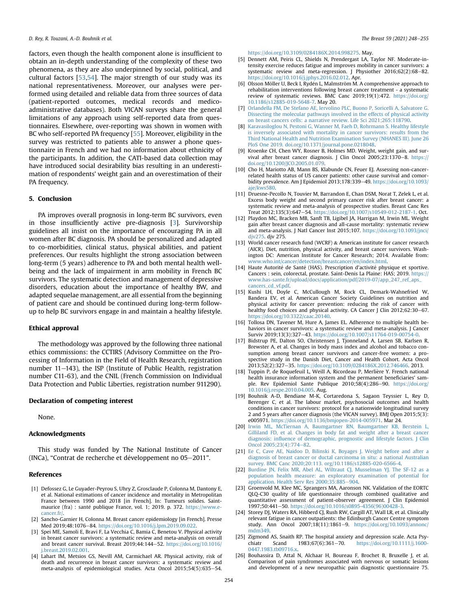factors, even though the health component alone is insufficient to obtain an in-depth understanding of the complexity of these two phenomena, as they are also underpinned by social, political, and cultural factors [\[53,](#page-7-26)[54\]](#page-7-27). The major strength of our study was its national representativeness. Moreover, our analyses were performed using detailed and reliable data from three sources of data (patient-reported outcomes, medical records and medicoadministrative databases). Both VICAN surveys share the general limitations of any approach using self-reported data from questionnaires. Elsewhere, over-reporting was shown in women with BC who self-reported PA frequency [\[55\]](#page-7-28). Moreover, eligibility in the survey was restricted to patients able to answer a phone questionnaire in French and we had no information about ethnicity of the participants. In addition, the CATI-based data collection may have introduced social desirability bias resulting in an underestimation of respondents' weight gain and an overestimation of their PA frequency.

## 5. Conclusion

PA improves overall prognosis in long-term BC survivors, even in those insufficiently active pre-diagnosis [[3](#page-6-2)]. Survivorship guidelines all insist on the importance of encouraging PA in all women after BC diagnosis. PA should be personalized and adapted to co-morbidities, clinical status, physical abilities, and patient preferences. Our results highlight the strong association between long-term (5 years) adherence to PA and both mental health wellbeing and the lack of impairment in arm mobility in French BC survivors. The systematic detection and management of depressive disorders, education about the importance of healthy BW, and adapted sequelae management, are all essential from the beginning of patient care and should be continued during long-term followup to help BC survivors engage in and maintain a healthy lifestyle.

# Ethical approval

The methodology was approved by the following three national ethics commissions: the CCTIRS (Advisory Committee on the Processing of Information in the Field of Health Research, registration number 11-143), the ISP (Institute of Public Health, registration number C11-63), and the CNIL (French Commission on Individual Data Protection and Public Liberties, registration number 911290).

# Declaration of competing interest

None.

# Acknowledgments

This study was funded by The National Institute of Cancer (INCa), "Contrat de recherche et développement no 05-2011".

## References

- <span id="page-6-0"></span>[1] Defossez G, Le Guyader-Peyrou S, Uhry Z, Grosclaude P, Colonna M, Dantony E, et al. National estimations of cancer incidence and mortality in Metropolitan France between 1990 and 2018 [in French]. In: Tumeurs solides. Saintmaurice (fra) : santé publique France, vol. 1; 2019. p. 372. [https://www.e](https://www.e-cancer.fr/)[cancer.fr/.](https://www.e-cancer.fr/)
- <span id="page-6-1"></span>[2] Sancho-Garnier H, Colonna M. Breast cancer epidemiology [in French]. Presse Med 2019;48:1076–84. [https://doi.org/10.1016/j.lpm.2019.09.022.](https://doi.org/10.1016/j.lpm.2019.09.022)<br>[3] Spei ME, Samoli E, Bravi F, La Vecchia C, Bamia C, Benetou V. Physical activity
- <span id="page-6-2"></span>in breast cancer survivors: a systematic review and meta-analysis on overall and breast cancer survival. Breast 2019;44:144-52. [https://doi.org/10.1016/](https://doi.org/10.1016/j.breast.2019.02.001) [j.breast.2019.02.001](https://doi.org/10.1016/j.breast.2019.02.001).
- <span id="page-6-3"></span>[4] Lahart IM, Metsios GS, Nevill AM, Carmichael AR. Physical activity, risk of death and recurrence in breast cancer survivors: a systematic review and meta-analysis of epidemiological studies. Acta Oncol 2015;54(5):635-54.

[https://doi.org/10.3109/0284186X.2014.998275.](https://doi.org/10.3109/0284186X.2014.998275) May.

- <span id="page-6-4"></span>[5] Dennett AM, Peiris CL, Shields N, Prendergast LA, Taylor NF. Moderate-intensity exercise reduces fatigue and improves mobility in cancer survivors: a systematic review and meta-regression. J Physiother 2016;62(2):68-82. [https://doi.org/10.1016/j.jphys.2016.02.012.](https://doi.org/10.1016/j.jphys.2016.02.012) Apr.
- <span id="page-6-5"></span>[6] Olsson Möller U, Beck I, Rydén L, Malmström M. A comprehensive approach to rehabilitation interventions following breast cancer treatment - a systematic review of systematic reviews. BMC Canc 2019;19(1):472. [https://doi.org/](https://doi.org/10.1186/s12885-019-5648-7) [10.1186/s12885-019-5648-7](https://doi.org/10.1186/s12885-019-5648-7). May 20.
- <span id="page-6-6"></span>[7] [Orlandella FM, De Stefano AE, Iervolino PLC, Buono P, Soricelli A, Salvatore G.](http://refhub.elsevier.com/S0960-9776(21)00419-7/sref7) [Dissecting the molecular pathways involved in the effects of physical activity](http://refhub.elsevier.com/S0960-9776(21)00419-7/sref7) [on breast cancers cells: a narrative review. Life Sci 2021;265:118790](http://refhub.elsevier.com/S0960-9776(21)00419-7/sref7).
- <span id="page-6-7"></span>[8] [Karavasiloglou N, Pestoni G, Wanner M, Faeh D, Rohrmann S. Healthy lifestyle](http://refhub.elsevier.com/S0960-9776(21)00419-7/sref8) [is inversely associated with mortality in cancer survivors: results from the](http://refhub.elsevier.com/S0960-9776(21)00419-7/sref8) [Third National Health and Nutrition Examination Survey \(NHANES III\). June 26](http://refhub.elsevier.com/S0960-9776(21)00419-7/sref8) [PloS One 2019. doi.org/10.1371/journal.pone.0218048](http://refhub.elsevier.com/S0960-9776(21)00419-7/sref8).
- <span id="page-6-8"></span>[9] Kroenke CH, Chen WY, Rosner B, Holmes MD. Weight, weight gain, and survival after breast cancer diagnosis. J Clin Oncol 2005;23:1370-8. [https://](https://doi.org/10.1200/JCO.2005.01.079) [doi.org/10.1200/JCO.2005.01.079.](https://doi.org/10.1200/JCO.2005.01.079)
- <span id="page-6-9"></span>[10] Cho H, Mariotto AB, Mann BS, Klabunde CN, Feuer EJ. Assessing non-cancerrelated health status of US cancer patients: other cause survival and comorbidity prevalence. Am J Epidemiol 2013;178:339-49. [https://doi.org/10.1093/](https://doi.org/10.1093/aje/kws580) [aje/kws580.](https://doi.org/10.1093/aje/kws580)
- <span id="page-6-10"></span>[11] Druesne-Pecollo N, Touvier M, Barrandon E, Chan DSM, Norat T, Zelek L, et al. Excess body weight and second primary cancer risk after breast cancer: a systematic review and meta-analysis of prospective studies. Breast Canc Res Treat 2012;135(3):647-54. [https://doi.org/10.1007/s10549-012-2187-1.](https://doi.org/10.1007/s10549-012-2187-1) Oct.
- <span id="page-6-11"></span>[12] Playdon MC, Bracken MB, Sanft TB, Ligibel JA, Harrigan M, Irwin ML. Weight gain after breast cancer diagnosis and all-cause mortality: systematic review and meta-analysis. J Natl Cancer Inst 2015;107. [https://doi.org/10.1093/jnci/](https://doi.org/10.1093/jnci/djv275) div275. div 275.
- <span id="page-6-12"></span>[13] World cancer research fund (WCRF) & American institute for cancer research (AICR). Diet, nutrition, physical activity, and breast cancer survivors. Washington DC: American Institute for Cancer Research; 2014. Available from: [www.who.int/cancer/detection/breastcancer/en/index.html.](http://www.who.int/cancer/detection/breastcancer/en/index.html)
- <span id="page-6-13"></span>[14] Haute Autorité de Santé (HAS). Prescription d'activité physique et sportive. Cancers : sein, colorectal, prostate. Saint-Denis La Plaine: HAS; 2019. [https://](https://www.has-sante.fr/upload/docs/application/pdf/2019-07/app_247_ref_aps_cancers_cd_vf.pdf) [www.has-sante.fr/upload/docs/application/pdf/2019-07/app\\_247\\_ref\\_aps\\_](https://www.has-sante.fr/upload/docs/application/pdf/2019-07/app_247_ref_aps_cancers_cd_vf.pdf) [cancers\\_cd\\_vf.pdf](https://www.has-sante.fr/upload/docs/application/pdf/2019-07/app_247_ref_aps_cancers_cd_vf.pdf).
- <span id="page-6-14"></span>[15] Kushi LH, Doyle C, McCullough M, Rock CL, Demark-Wahnefried W, Bandera EV, et al. American Cancer Society Guidelines on nutrition and physical activity for cancer prevention: reducing the risk of cancer with healthy food choices and physical activity. CA Cancer J Clin 2012;62:30-67. [https://doi.org/10.3322/caac.20140.](https://doi.org/10.3322/caac.20140)
- <span id="page-6-15"></span>[16] Tollosa DN, Tavener M, Hure A, James EL. Adherence to multiple health behaviors in cancer survivors: a systematic review and meta-analysis. J Cancer Surviv 2019;13(3):327-43. [https://doi.org/10.1007/s11764-019-00754-0.](https://doi.org/10.1007/s11764-019-00754-0)
- <span id="page-6-16"></span>[17] Bidstrup PE, Dalton SO, Christensen J, Tjonneland A, Larsen SB, Karlsen R, Brewster A, et al. Changes in body mass index and alcohol and tobacco consumption among breast cancer survivors and cancer-free women: a prospective study in the Danish Diet, Cancer and Health Cohort. Acta Oncol 2013;52(2):327-35. [https://doi.org/10.3109/0284186X.2012.746466.](https://doi.org/10.3109/0284186X.2012.746466) 2013.
- <span id="page-6-17"></span>[18] Tuppin P, de Roquefeuil L, Weill A, Ricordeau P, Merliere Y. French national health insurance information system and the permanent beneficiaries' sample. Rev Epidemiol Sante Publique 2010;58(4):286-90. [https://doi.org/](https://doi.org/10.1016/j.respe.2010.04.005) [10.1016/j.respe.2010.04.005](https://doi.org/10.1016/j.respe.2010.04.005). Aug.
- <span id="page-6-18"></span>[19] Bouhnik A-D, Bendiane M-K, Cortaredona S, Sagaon Teyssier L, Rey D, Berenger C, et al. The labour market, psychosocial outcomes and health conditions in cancer survivors: protocol for a nationwide longitudinal survey 2 and 5 years after cancer diagnosis (the VICAN survey). BMJ Open 2015;5(3): e005971. [https://doi.org/10.1136/bmjopen-2014-005971.](https://doi.org/10.1136/bmjopen-2014-005971) Mar 24.
- <span id="page-6-19"></span>[20] [Irwin ML, McTiernan A, Baumgartner RN, Baumgartner KB, Berstein L,](http://refhub.elsevier.com/S0960-9776(21)00419-7/sref20) [Gilliland FD, et al. Changes in body fat and weight after a breast cancer](http://refhub.elsevier.com/S0960-9776(21)00419-7/sref20) diagnosis: infl[uence of demographic, prognostic and lifestyle factors. J Clin](http://refhub.elsevier.com/S0960-9776(21)00419-7/sref20) [Oncol 2005;23\(4\):774](http://refhub.elsevier.com/S0960-9776(21)00419-7/sref20)-[82](http://refhub.elsevier.com/S0960-9776(21)00419-7/sref20).
- <span id="page-6-20"></span>[21] [Ee C, Cave AE, Naidoo D, Bilinski K, Boyages J. Weight before and after a](http://refhub.elsevier.com/S0960-9776(21)00419-7/sref21) [diagnosis of breast cancer or ductal carcinoma in situ: a national Australian](http://refhub.elsevier.com/S0960-9776(21)00419-7/sref21) [survey. BMC Canc 2020;20:113. org/10.1186/s12885-020-6566-4](http://refhub.elsevier.com/S0960-9776(21)00419-7/sref21).
- <span id="page-6-21"></span>[22] [Burdine JN, Felix MR, Abel AL, Wiltraut CJ, Musselman YJ. The SF-12 as a](http://refhub.elsevier.com/S0960-9776(21)00419-7/sref22) [population health measure: an exploratory examination of potential for](http://refhub.elsevier.com/S0960-9776(21)00419-7/sref22) application. Health Serv Res  $2000;35:885-904$ .
- <span id="page-6-22"></span>[23] Groenvold M, Klee MC, Sprangers MA, Aaronson NK. Validation of the EORTC QLQ-C30 quality of life questionnaire through combined qualitative and quantitative assessment of patient-observer agreement. J Clin Epidemiol 1997;50:441-50. [https://doi.org/10.1016/s0895-4356\(96\)00428-3](https://doi.org/10.1016/s0895-4356(96)00428-3).
- <span id="page-6-23"></span>[24] Storey DJ, Waters RA, Hibberd CJ, Rush RW, Cargill AT, Wall LR, et al. Clinically relevant fatigue in cancer outpatients: the Edinburgh Cancer Centre symptom study. Ann Oncol 2007;18(11):1861-9. [https://doi.org/10.1093/annonc/](https://doi.org/10.1093/annonc/mdm349) [mdm349](https://doi.org/10.1093/annonc/mdm349).
- <span id="page-6-24"></span>[25] Zigmond AS, Snaith RP. The hospital anxiety and depression scale. Acta Psy-<br>chiatr Scand 1983;67(6):361–70. https://doi.org/10.1111/j.1600chiatr Scand 1983;67(6):361-70. [https://doi.org/10.1111/j.1600-](https://doi.org/10.1111/j.1600-0447.1983.tb09716.x) [0447.1983.tb09716.x.](https://doi.org/10.1111/j.1600-0447.1983.tb09716.x)
- <span id="page-6-25"></span>[26] Bouhassira D, Attal N, Alchaar H, Boureau F, Brochet B, Bruxelle J, et al. Comparison of pain syndromes associated with nervous or somatic lesions and development of a new neuropathic pain diagnostic questionnaire 75.